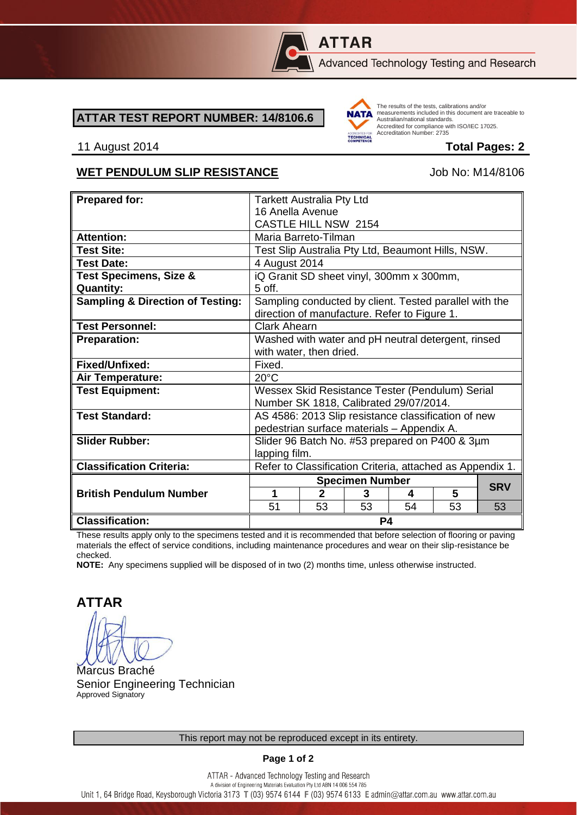

# **ATTAR**

Advanced Technology Testing and Research

#### **ATTAR TEST REPORT NUMBER: 14/8106.6**



The results of the tests, calibrations and/or measurements included in this document are traceable to Australian/national standards. Adstrational Midional Standards.<br>Accredited for compliance with ISO/IEC 17025. Accreditation Number: 2735

#### 11 August 2014 **Total Pages: 2**

#### WET PENDULUM SLIP RESISTANCE Job No: M14/8106

| <b>Prepared for:</b>                        | <b>Tarkett Australia Pty Ltd</b>                                                                       |                |                             |    |    |            |
|---------------------------------------------|--------------------------------------------------------------------------------------------------------|----------------|-----------------------------|----|----|------------|
|                                             | 16 Anella Avenue                                                                                       |                |                             |    |    |            |
|                                             | <b>CASTLE HILL NSW 2154</b>                                                                            |                |                             |    |    |            |
| <b>Attention:</b>                           | Maria Barreto-Tilman                                                                                   |                |                             |    |    |            |
| <b>Test Site:</b>                           | Test Slip Australia Pty Ltd, Beaumont Hills, NSW.                                                      |                |                             |    |    |            |
| <b>Test Date:</b>                           | 4 August 2014                                                                                          |                |                             |    |    |            |
| <b>Test Specimens, Size &amp;</b>           | iQ Granit SD sheet vinyl, 300mm x 300mm,                                                               |                |                             |    |    |            |
| <b>Quantity:</b>                            | $5$ off.                                                                                               |                |                             |    |    |            |
| <b>Sampling &amp; Direction of Testing:</b> | Sampling conducted by client. Tested parallel with the<br>direction of manufacture. Refer to Figure 1. |                |                             |    |    |            |
| <b>Test Personnel:</b>                      | <b>Clark Ahearn</b>                                                                                    |                |                             |    |    |            |
| <b>Preparation:</b>                         | Washed with water and pH neutral detergent, rinsed                                                     |                |                             |    |    |            |
|                                             | with water, then dried.                                                                                |                |                             |    |    |            |
| Fixed/Unfixed:                              | Fixed.                                                                                                 |                |                             |    |    |            |
| Air Temperature:                            | $20^{\circ}$ C                                                                                         |                |                             |    |    |            |
| <b>Test Equipment:</b>                      | Wessex Skid Resistance Tester (Pendulum) Serial                                                        |                |                             |    |    |            |
|                                             | Number SK 1818, Calibrated 29/07/2014.                                                                 |                |                             |    |    |            |
| <b>Test Standard:</b>                       | AS 4586: 2013 Slip resistance classification of new                                                    |                |                             |    |    |            |
|                                             | pedestrian surface materials - Appendix A.                                                             |                |                             |    |    |            |
| <b>Slider Rubber:</b>                       | Slider 96 Batch No. #53 prepared on P400 & 3µm                                                         |                |                             |    |    |            |
|                                             | lapping film.                                                                                          |                |                             |    |    |            |
| <b>Classification Criteria:</b>             | Refer to Classification Criteria, attached as Appendix 1.                                              |                |                             |    |    |            |
|                                             |                                                                                                        |                |                             |    |    |            |
|                                             |                                                                                                        |                |                             |    |    |            |
| <b>British Pendulum Number</b>              | 1                                                                                                      | $\mathfrak{p}$ | <b>Specimen Number</b><br>3 | 4  | 5  | <b>SRV</b> |
|                                             | 51                                                                                                     | 53             | 53                          | 54 | 53 | 53         |

These results apply only to the specimens tested and it is recommended that before selection of flooring or paving materials the effect of service conditions, including maintenance procedures and wear on their slip-resistance be checked.

**NOTE:** Any specimens supplied will be disposed of in two (2) months time, unless otherwise instructed.

**ATTAR**

Marcus Braché Senior Engineering Technician Approved Signatory